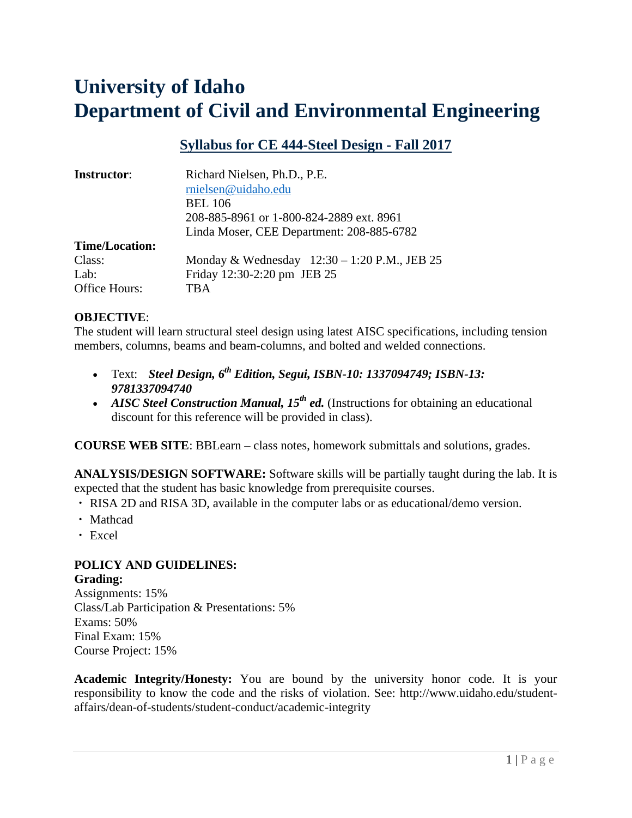# **University of Idaho Department of Civil and Environmental Engineering**

## **Syllabus for CE 444-Steel Design - Fall 2017**

| <b>Instructor:</b>    | Richard Nielsen, Ph.D., P.E.                 |  |  |
|-----------------------|----------------------------------------------|--|--|
|                       | rnielsen@uidaho.edu                          |  |  |
|                       | <b>BEL 106</b>                               |  |  |
|                       | 208-885-8961 or 1-800-824-2889 ext. 8961     |  |  |
|                       | Linda Moser, CEE Department: 208-885-6782    |  |  |
| <b>Time/Location:</b> |                                              |  |  |
| Class:                | Monday & Wednesday 12:30 - 1:20 P.M., JEB 25 |  |  |
| Lab:                  | Friday 12:30-2:20 pm JEB 25                  |  |  |
| Office Hours:         | <b>TBA</b>                                   |  |  |

#### **OBJECTIVE**:

The student will learn structural steel design using latest AISC specifications, including tension members, columns, beams and beam-columns, and bolted and welded connections.

- Text: *Steel Design, 6th Edition, Segui, ISBN-10: 1337094749; ISBN-13: 9781337094740*
- AISC Steel Construction Manual, 15<sup>th</sup> ed. (Instructions for obtaining an educational discount for this reference will be provided in class).

**COURSE WEB SITE**: BBLearn – class notes, homework submittals and solutions, grades.

**ANALYSIS/DESIGN SOFTWARE:** Software skills will be partially taught during the lab. It is expected that the student has basic knowledge from prerequisite courses.

- ・ RISA 2D and RISA 3D, available in the computer labs or as educational/demo version.
- ・ Mathcad
- ・ Excel

#### **POLICY AND GUIDELINES: Grading:**

Assignments: 15% Class/Lab Participation & Presentations: 5% Exams: 50% Final Exam: 15% Course Project: 15%

**Academic Integrity/Honesty:** You are bound by the university honor code. It is your responsibility to know the code and the risks of violation. See: http://www.uidaho.edu/studentaffairs/dean-of-students/student-conduct/academic-integrity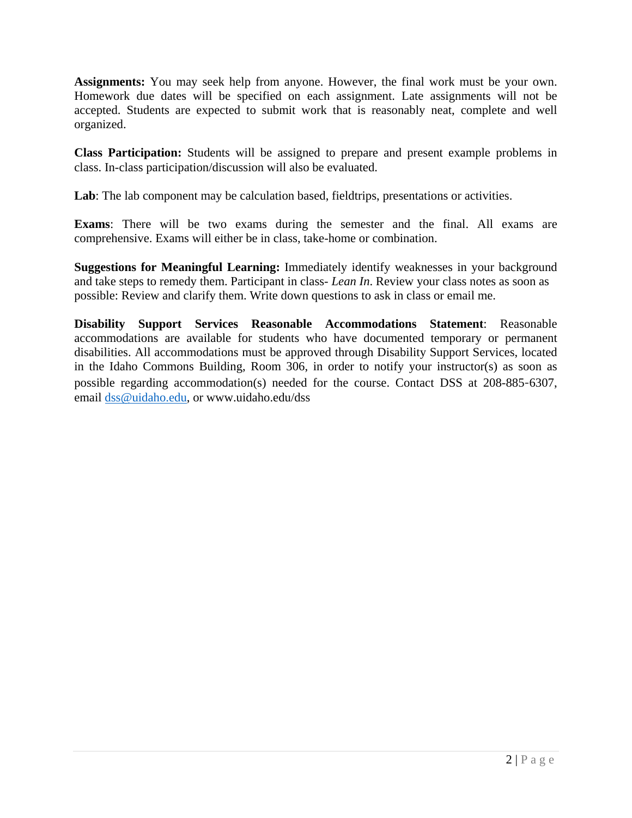**Assignments:** You may seek help from anyone. However, the final work must be your own. Homework due dates will be specified on each assignment. Late assignments will not be accepted. Students are expected to submit work that is reasonably neat, complete and well organized.

**Class Participation:** Students will be assigned to prepare and present example problems in class. In-class participation/discussion will also be evaluated.

Lab: The lab component may be calculation based, field trips, presentations or activities.

**Exams**: There will be two exams during the semester and the final. All exams are comprehensive. Exams will either be in class, take-home or combination.

**Suggestions for Meaningful Learning:** Immediately identify weaknesses in your background and take steps to remedy them. Participant in class- *Lean In*. Review your class notes as soon as possible: Review and clarify them. Write down questions to ask in class or email me.

**Disability Support Services Reasonable Accommodations Statement**: Reasonable accommodations are available for students who have documented temporary or permanent disabilities. All accommodations must be approved through Disability Support Services, located in the Idaho Commons Building, Room 306, in order to notify your instructor(s) as soon as possible regarding accommodation(s) needed for the course. Contact DSS at 208-885-6307, email dss@uidaho.edu, or www.uidaho.edu/dss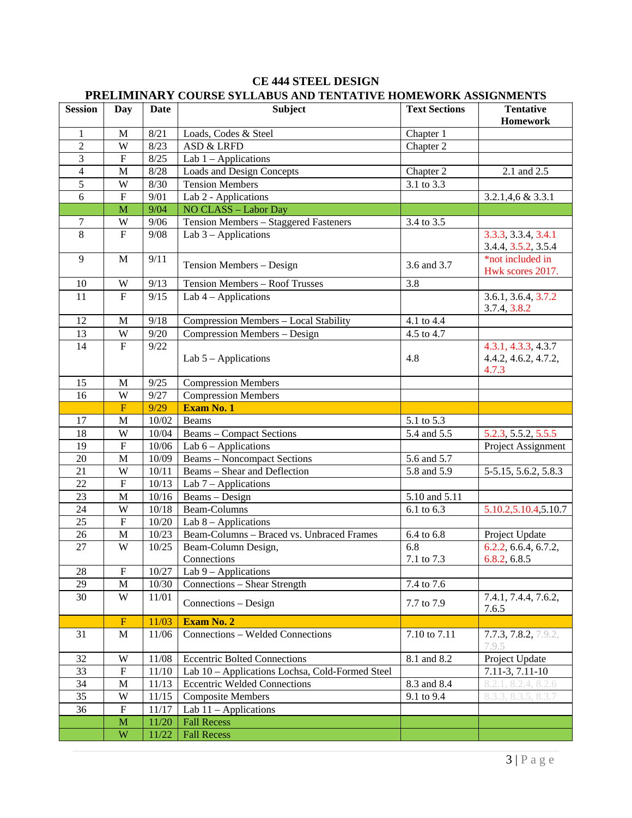| <b>Session</b> | Day                       | Date    | I KELIMINAK I-COUKSE STELADUS AND TENTATIVE HOME WOKK ASSIGNMENTS<br><b>Subject</b> | <b>Text Sections</b> | <b>Tentative</b>                                     |
|----------------|---------------------------|---------|-------------------------------------------------------------------------------------|----------------------|------------------------------------------------------|
|                |                           |         |                                                                                     |                      | <b>Homework</b>                                      |
| $\mathbf{1}$   | M                         | 8/21    | Loads, Codes & Steel                                                                | Chapter 1            |                                                      |
| $\overline{2}$ | W                         | 8/23    | <b>ASD &amp; LRFD</b>                                                               | Chapter 2            |                                                      |
| 3              | $\overline{F}$            | 8/25    | Lab $1 -$ Applications                                                              |                      |                                                      |
| $\overline{4}$ | M                         | 8/28    | <b>Loads and Design Concepts</b>                                                    | Chapter 2            | 2.1 and 2.5                                          |
| $\overline{5}$ | W                         | 8/30    | <b>Tension Members</b>                                                              | 3.1 to 3.3           |                                                      |
| 6              | $\boldsymbol{\mathrm{F}}$ | 9/01    | Lab 2 - Applications                                                                |                      | $3.2.1,4,6$ & $3.3.1$                                |
|                | $\mathbf{M}$              | 9/04    | NO CLASS - Labor Day                                                                |                      |                                                      |
| 7              | W                         | 9/06    | Tension Members - Staggered Fasteners                                               | 3.4 to 3.5           |                                                      |
| 8              | $\mathbf F$               | 9/08    | Lab $3$ – Applications                                                              |                      | 3.3.3, 3.3.4, 3.4.1<br>3.4.4, 3.5.2, 3.5.4           |
| 9              | M                         | 9/11    | Tension Members - Design                                                            | 3.6 and 3.7          | *not included in<br>Hwk scores 2017.                 |
| 10             | W                         | 9/13    | Tension Members - Roof Trusses                                                      | 3.8                  |                                                      |
| 11             | $\mathbf F$               | 9/15    | Lab $4$ – Applications                                                              |                      | 3.6.1, 3.6.4, 3.7.2<br>3.7.4, 3.8.2                  |
| 12             | M                         | 9/18    | Compression Members - Local Stability                                               | 4.1 to 4.4           |                                                      |
| 13             | W                         | 9/20    | Compression Members - Design                                                        | 4.5 to 4.7           |                                                      |
| 14             | $\overline{F}$            | 9/22    | Lab $5 -$ Applications                                                              | 4.8                  | 4.3.1, 4.3.3, 4.3.7<br>4.4.2, 4.6.2, 4.7.2,<br>4.7.3 |
| 15             | $\mathbf M$               | 9/25    | <b>Compression Members</b>                                                          |                      |                                                      |
| 16             | W                         | 9/27    | <b>Compression Members</b>                                                          |                      |                                                      |
|                | F                         | 9/29    | Exam No. 1                                                                          |                      |                                                      |
| 17             | M                         | 10/02   | Beams                                                                               | 5.1 to 5.3           |                                                      |
| 18             | W                         | 10/04   | <b>Beams – Compact Sections</b>                                                     | 5.4 and 5.5          | 5.2.3, 5.5.2, 5.5.5                                  |
| 19             | ${\bf F}$                 | 10/06   | Lab $6$ – Applications                                                              |                      | Project Assignment                                   |
| $20\,$         | $\mathbf M$               | 10/09   | <b>Beams</b> – Noncompact Sections                                                  | 5.6 and 5.7          |                                                      |
| 21             | W                         | 10/11   | Beams - Shear and Deflection                                                        | 5.8 and 5.9          | 5-5.15, 5.6.2, 5.8.3                                 |
| 22             | $\boldsymbol{\mathrm{F}}$ | 10/13   | Lab $7 -$ Applications                                                              |                      |                                                      |
| 23             | $\mathbf M$               | 10/16   | Beams - Design                                                                      | 5.10 and 5.11        |                                                      |
| 24             | W                         | $10/18$ | Beam-Columns                                                                        | 6.1 to 6.3           | 5.10.2,5.10.4,5.10.7                                 |
| 25             | $\mathbf F$               | 10/20   | Lab $8$ – Applications                                                              |                      |                                                      |
| 26             | $\mathbf M$               | 10/23   | Beam-Columns - Braced vs. Unbraced Frames                                           | 6.4 to 6.8           | Project Update                                       |
| 27             | W                         | 10/25   | Beam-Column Design,                                                                 | 6.8                  | 6.2.2, 6.6.4, 6.7.2,                                 |
|                |                           |         | Connections                                                                         | 7.1 to 7.3           | 6.8.2, 6.8.5                                         |
| $28\,$         | ${\bf F}$                 | 10/27   | Lab $9$ – Applications                                                              |                      |                                                      |
| 29             | $\mathbf M$               | 10/30   | Connections - Shear Strength                                                        | 7.4 to 7.6           |                                                      |
| 30             | W                         | 11/01   | Connections - Design                                                                | 7.7 to 7.9           | 7.4.1, 7.4.4, 7.6.2,<br>7.6.5                        |
|                | $\mathbf F$               | 11/03   | Exam No. 2                                                                          |                      |                                                      |
| 31             | M                         | 11/06   | Connections - Welded Connections                                                    | 7.10 to 7.11         | 7.7.3, 7.8.2, 7.9.2,<br>7.9.5                        |
| 32             | W                         | 11/08   | <b>Eccentric Bolted Connections</b>                                                 | 8.1 and 8.2          | Project Update                                       |
| 33             | $\mathbf F$               | 11/10   | Lab 10 - Applications Lochsa, Cold-Formed Steel                                     |                      | 7.11-3, 7.11-10                                      |
| 34             | $\mathbf{M}$              | 11/13   | <b>Eccentric Welded Connections</b>                                                 | 8.3 and 8.4          | 8.2.1, 8.2.4, 8.2.6                                  |
| 35             | W                         | 11/15   | <b>Composite Members</b>                                                            | 9.1 to 9.4           | 8.3.3, 8.3.5, 8.3.7                                  |
| 36             | ${\bf F}$                 | 11/17   | Lab $11$ – Applications                                                             |                      |                                                      |
|                | $\mathbf M$               | 11/20   | <b>Fall Recess</b>                                                                  |                      |                                                      |
|                | W                         | 11/22   | <b>Fall Recess</b>                                                                  |                      |                                                      |

### **CE 444 STEEL DESIGN PRELIMINARY COURSE SYLLABUS AND TENTATIVE HOMEWORK ASSIGNMENTS**